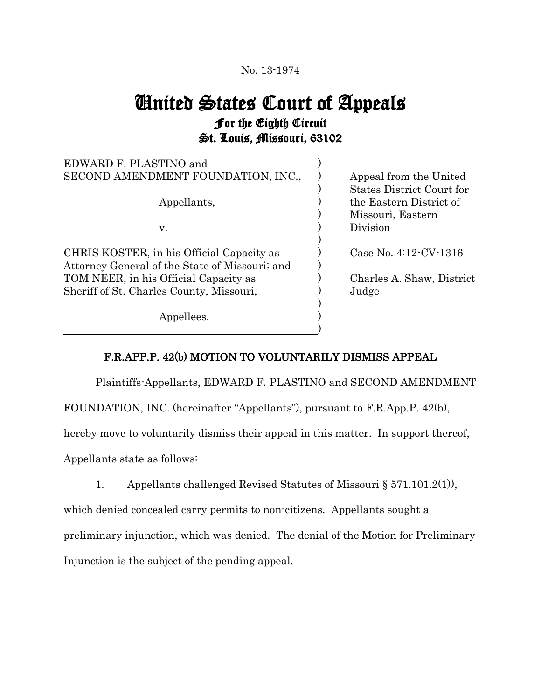## No. 13-1974

## United States Court of Appeals For the Eighth Circuit St. Louis, Missouri, 63102

| EDWARD F. PLASTINO and                         |                                  |
|------------------------------------------------|----------------------------------|
| SECOND AMENDMENT FOUNDATION, INC.,             | Appeal from the United           |
|                                                | <b>States District Court for</b> |
| Appellants,                                    | the Eastern District of          |
|                                                | Missouri, Eastern                |
| V.                                             | Division                         |
|                                                |                                  |
| CHRIS KOSTER, in his Official Capacity as      | Case No. $4:12$ CV $-1316$       |
| Attorney General of the State of Missouri; and |                                  |
| TOM NEER, in his Official Capacity as          | Charles A. Shaw, District        |
| Sheriff of St. Charles County, Missouri,       | Judge                            |
|                                                |                                  |
| Appellees.                                     |                                  |
|                                                |                                  |

## F.R.APP.P. 42(b) MOTION TO VOLUNTARILY DISMISS APPEAL

Plaintiffs-Appellants, EDWARD F. PLASTINO and SECOND AMENDMENT

FOUNDATION, INC. (hereinafter "Appellants"), pursuant to F.R.App.P. 42(b),

hereby move to voluntarily dismiss their appeal in this matter. In support thereof,

Appellants state as follows:

1. Appellants challenged Revised Statutes of Missouri § 571.101.2(1)),

which denied concealed carry permits to non-citizens. Appellants sought a preliminary injunction, which was denied. The denial of the Motion for Preliminary Injunction is the subject of the pending appeal.